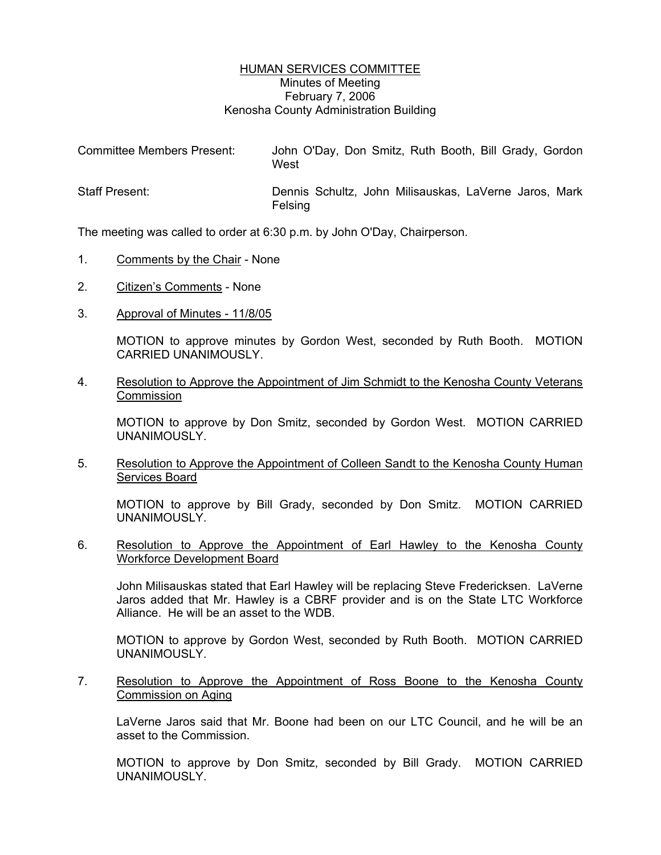## HUMAN SERVICES COMMITTEE Minutes of Meeting February 7, 2006 Kenosha County Administration Building

| <b>Committee Members Present:</b> | John O'Day, Don Smitz, Ruth Booth, Bill Grady, Gordon<br>West    |
|-----------------------------------|------------------------------------------------------------------|
| <b>Staff Present:</b>             | Dennis Schultz, John Milisauskas, LaVerne Jaros, Mark<br>Felsing |

The meeting was called to order at 6:30 p.m. by John O'Day, Chairperson.

- 1. Comments by the Chair None
- 2. Citizen's Comments None
- 3. Approval of Minutes 11/8/05

MOTION to approve minutes by Gordon West, seconded by Ruth Booth. MOTION CARRIED UNANIMOUSLY.

4. Resolution to Approve the Appointment of Jim Schmidt to the Kenosha County Veterans Commission

MOTION to approve by Don Smitz, seconded by Gordon West. MOTION CARRIED UNANIMOUSLY.

5. Resolution to Approve the Appointment of Colleen Sandt to the Kenosha County Human Services Board

MOTION to approve by Bill Grady, seconded by Don Smitz. MOTION CARRIED UNANIMOUSLY.

6. Resolution to Approve the Appointment of Earl Hawley to the Kenosha County Workforce Development Board

John Milisauskas stated that Earl Hawley will be replacing Steve Fredericksen. LaVerne Jaros added that Mr. Hawley is a CBRF provider and is on the State LTC Workforce Alliance. He will be an asset to the WDB.

MOTION to approve by Gordon West, seconded by Ruth Booth. MOTION CARRIED UNANIMOUSLY.

7. Resolution to Approve the Appointment of Ross Boone to the Kenosha County Commission on Aging

LaVerne Jaros said that Mr. Boone had been on our LTC Council, and he will be an asset to the Commission.

MOTION to approve by Don Smitz, seconded by Bill Grady. MOTION CARRIED UNANIMOUSLY.